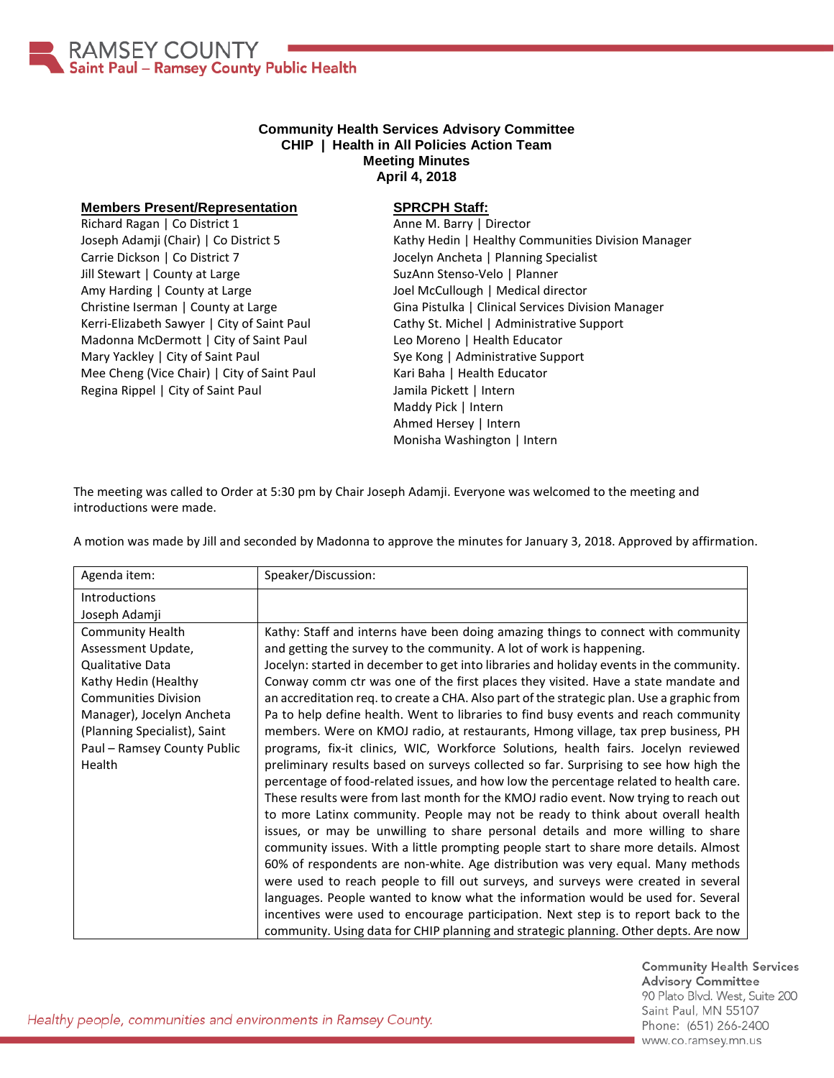

## **Community Health Services Advisory Committee CHIP | Health in All Policies Action Team Meeting Minutes April 4, 2018**

## **Members Present/Representation**

Richard Ragan | Co District 1 Joseph Adamji (Chair) | Co District 5 Carrie Dickson | Co District 7 Jill Stewart | County at Large Amy Harding | County at Large Christine Iserman | County at Large Kerri-Elizabeth Sawyer | City of Saint Paul Madonna McDermott | City of Saint Paul Mary Yackley | City of Saint Paul Mee Cheng (Vice Chair) | City of Saint Paul Regina Rippel | City of Saint Paul

## **SPRCPH Staff:**

Anne M. Barry | Director Kathy Hedin | Healthy Communities Division Manager Jocelyn Ancheta | Planning Specialist SuzAnn Stenso-Velo | Planner Joel McCullough | Medical director Gina Pistulka | Clinical Services Division Manager Cathy St. Michel | Administrative Support Leo Moreno | Health Educator Sye Kong | Administrative Support Kari Baha | Health Educator Jamila Pickett | Intern Maddy Pick | Intern Ahmed Hersey | Intern Monisha Washington | Intern

The meeting was called to Order at 5:30 pm by Chair Joseph Adamji. Everyone was welcomed to the meeting and introductions were made.

A motion was made by Jill and seconded by Madonna to approve the minutes for January 3, 2018. Approved by affirmation.

| Agenda item:                 | Speaker/Discussion:                                                                        |
|------------------------------|--------------------------------------------------------------------------------------------|
| <b>Introductions</b>         |                                                                                            |
| Joseph Adamji                |                                                                                            |
| <b>Community Health</b>      | Kathy: Staff and interns have been doing amazing things to connect with community          |
| Assessment Update,           | and getting the survey to the community. A lot of work is happening.                       |
| Qualitative Data             | Jocelyn: started in december to get into libraries and holiday events in the community.    |
| Kathy Hedin (Healthy         | Conway comm ctr was one of the first places they visited. Have a state mandate and         |
| <b>Communities Division</b>  | an accreditation req. to create a CHA. Also part of the strategic plan. Use a graphic from |
| Manager), Jocelyn Ancheta    | Pa to help define health. Went to libraries to find busy events and reach community        |
| (Planning Specialist), Saint | members. Were on KMOJ radio, at restaurants, Hmong village, tax prep business, PH          |
| Paul - Ramsey County Public  | programs, fix-it clinics, WIC, Workforce Solutions, health fairs. Jocelyn reviewed         |
| Health                       | preliminary results based on surveys collected so far. Surprising to see how high the      |
|                              | percentage of food-related issues, and how low the percentage related to health care.      |
|                              | These results were from last month for the KMOJ radio event. Now trying to reach out       |
|                              | to more Latinx community. People may not be ready to think about overall health            |
|                              | issues, or may be unwilling to share personal details and more willing to share            |
|                              | community issues. With a little prompting people start to share more details. Almost       |
|                              | 60% of respondents are non-white. Age distribution was very equal. Many methods            |
|                              | were used to reach people to fill out surveys, and surveys were created in several         |
|                              | languages. People wanted to know what the information would be used for. Several           |
|                              | incentives were used to encourage participation. Next step is to report back to the        |
|                              | community. Using data for CHIP planning and strategic planning. Other depts. Are now       |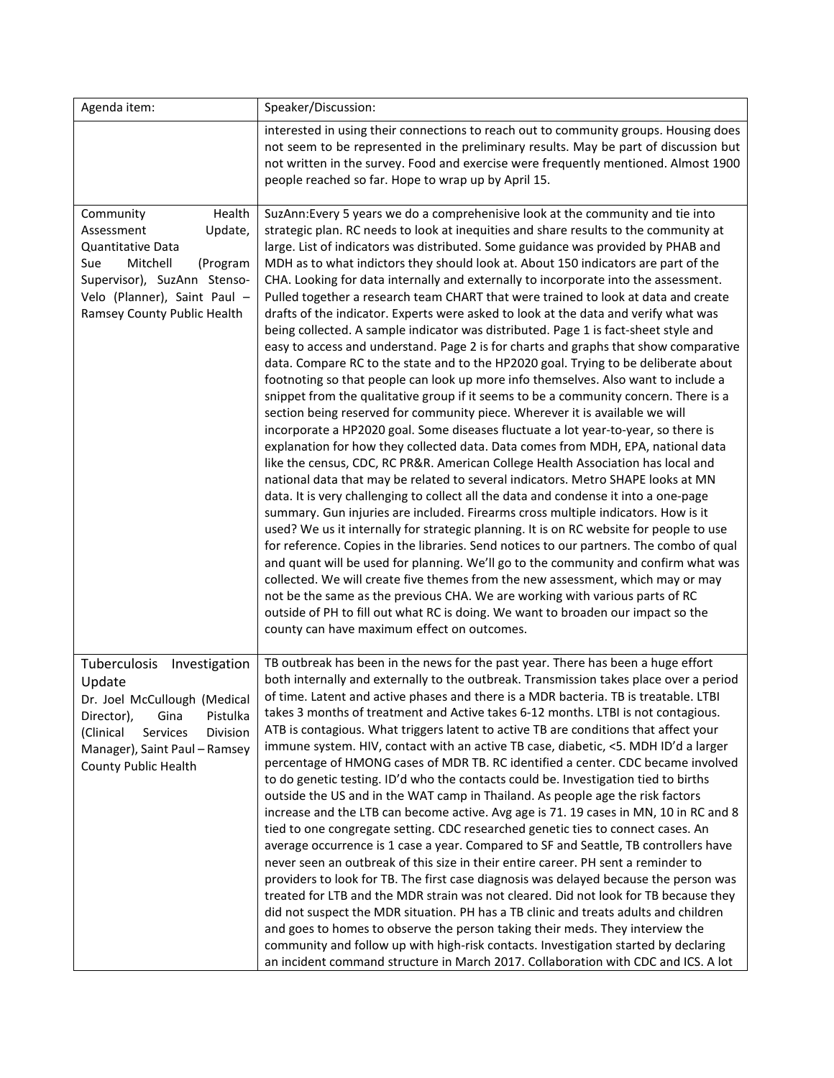| Agenda item:                                                                                                                                                                                                   | Speaker/Discussion:                                                                                                                                                                                                                                                                                                                                                                                                                                                                                                                                                                                                                                                                                                                                                                                                                                                                                                                                                                                                                                                                                                                                                                                                                                                                                                                                                                                                                                                                                                                                                                                                                                                                                                                                                                                                                                                                                                                                                                                                                                                                                                                                                                                                                                                          |
|----------------------------------------------------------------------------------------------------------------------------------------------------------------------------------------------------------------|------------------------------------------------------------------------------------------------------------------------------------------------------------------------------------------------------------------------------------------------------------------------------------------------------------------------------------------------------------------------------------------------------------------------------------------------------------------------------------------------------------------------------------------------------------------------------------------------------------------------------------------------------------------------------------------------------------------------------------------------------------------------------------------------------------------------------------------------------------------------------------------------------------------------------------------------------------------------------------------------------------------------------------------------------------------------------------------------------------------------------------------------------------------------------------------------------------------------------------------------------------------------------------------------------------------------------------------------------------------------------------------------------------------------------------------------------------------------------------------------------------------------------------------------------------------------------------------------------------------------------------------------------------------------------------------------------------------------------------------------------------------------------------------------------------------------------------------------------------------------------------------------------------------------------------------------------------------------------------------------------------------------------------------------------------------------------------------------------------------------------------------------------------------------------------------------------------------------------------------------------------------------------|
|                                                                                                                                                                                                                | interested in using their connections to reach out to community groups. Housing does<br>not seem to be represented in the preliminary results. May be part of discussion but<br>not written in the survey. Food and exercise were frequently mentioned. Almost 1900<br>people reached so far. Hope to wrap up by April 15.                                                                                                                                                                                                                                                                                                                                                                                                                                                                                                                                                                                                                                                                                                                                                                                                                                                                                                                                                                                                                                                                                                                                                                                                                                                                                                                                                                                                                                                                                                                                                                                                                                                                                                                                                                                                                                                                                                                                                   |
| Health<br>Community<br>Update,<br>Assessment<br>Quantitative Data<br>Mitchell<br>Sue<br>(Program<br>Supervisor), SuzAnn Stenso-<br>Velo (Planner), Saint Paul -<br>Ramsey County Public Health                 | SuzAnn: Every 5 years we do a comprehenisive look at the community and tie into<br>strategic plan. RC needs to look at inequities and share results to the community at<br>large. List of indicators was distributed. Some guidance was provided by PHAB and<br>MDH as to what indictors they should look at. About 150 indicators are part of the<br>CHA. Looking for data internally and externally to incorporate into the assessment.<br>Pulled together a research team CHART that were trained to look at data and create<br>drafts of the indicator. Experts were asked to look at the data and verify what was<br>being collected. A sample indicator was distributed. Page 1 is fact-sheet style and<br>easy to access and understand. Page 2 is for charts and graphs that show comparative<br>data. Compare RC to the state and to the HP2020 goal. Trying to be deliberate about<br>footnoting so that people can look up more info themselves. Also want to include a<br>snippet from the qualitative group if it seems to be a community concern. There is a<br>section being reserved for community piece. Wherever it is available we will<br>incorporate a HP2020 goal. Some diseases fluctuate a lot year-to-year, so there is<br>explanation for how they collected data. Data comes from MDH, EPA, national data<br>like the census, CDC, RC PR&R. American College Health Association has local and<br>national data that may be related to several indicators. Metro SHAPE looks at MN<br>data. It is very challenging to collect all the data and condense it into a one-page<br>summary. Gun injuries are included. Firearms cross multiple indicators. How is it<br>used? We us it internally for strategic planning. It is on RC website for people to use<br>for reference. Copies in the libraries. Send notices to our partners. The combo of qual<br>and quant will be used for planning. We'll go to the community and confirm what was<br>collected. We will create five themes from the new assessment, which may or may<br>not be the same as the previous CHA. We are working with various parts of RC<br>outside of PH to fill out what RC is doing. We want to broaden our impact so the<br>county can have maximum effect on outcomes. |
| Tuberculosis<br>Investigation<br>Update<br>Dr. Joel McCullough (Medical<br>Pistulka<br>Director),<br>Gina<br>(Clinical<br>Services<br>Division<br>Manager), Saint Paul - Ramsey<br><b>County Public Health</b> | TB outbreak has been in the news for the past year. There has been a huge effort<br>both internally and externally to the outbreak. Transmission takes place over a period<br>of time. Latent and active phases and there is a MDR bacteria. TB is treatable. LTBI<br>takes 3 months of treatment and Active takes 6-12 months. LTBI is not contagious.<br>ATB is contagious. What triggers latent to active TB are conditions that affect your<br>immune system. HIV, contact with an active TB case, diabetic, <5. MDH ID'd a larger<br>percentage of HMONG cases of MDR TB. RC identified a center. CDC became involved<br>to do genetic testing. ID'd who the contacts could be. Investigation tied to births<br>outside the US and in the WAT camp in Thailand. As people age the risk factors<br>increase and the LTB can become active. Avg age is 71. 19 cases in MN, 10 in RC and 8<br>tied to one congregate setting. CDC researched genetic ties to connect cases. An<br>average occurrence is 1 case a year. Compared to SF and Seattle, TB controllers have<br>never seen an outbreak of this size in their entire career. PH sent a reminder to<br>providers to look for TB. The first case diagnosis was delayed because the person was<br>treated for LTB and the MDR strain was not cleared. Did not look for TB because they<br>did not suspect the MDR situation. PH has a TB clinic and treats adults and children<br>and goes to homes to observe the person taking their meds. They interview the<br>community and follow up with high-risk contacts. Investigation started by declaring<br>an incident command structure in March 2017. Collaboration with CDC and ICS. A lot                                                                                                                                                                                                                                                                                                                                                                                                                                                                                                                                                                         |